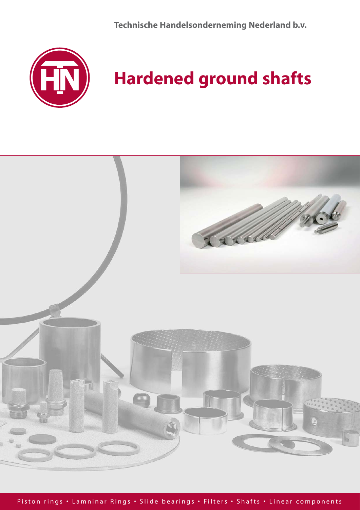**Technische Handelsonderneming Nederland b.v.**



# **Hardened ground shafts**

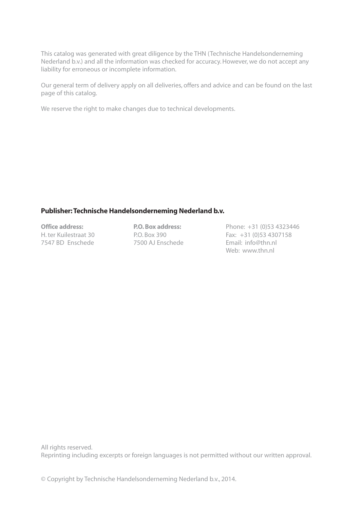This catalog was generated with great diligence by the THN (Technische Handelsonderneming Nederland b.v.) and all the information was checked for accuracy. However, we do not accept any liability for erroneous or incomplete information.

Our general term of delivery apply on all deliveries, offers and advice and can be found on the last page of this catalog.

We reserve the right to make changes due to technical developments.

### Publisher: Technische Handelsonderneming Nederland b.v.

7500 AJ Enschede

Office address: **P.O. Box address:** Phone: +31 (0)53 4323446 H. ter Kuilestraat 30 **P.O. Box 390** Fax: +31 (0)53 4307158<br>
7547 BD Enschede 7500 AJ Enschede Fmail: info@thn.nl Web: www.thn.nl

All rights reserved. Reprinting including excerpts or foreign languages is not permitted without our written approval.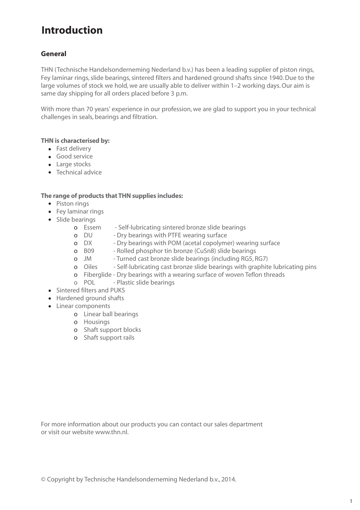## **Introduction**

## **General**

THN (Technische Handelsonderneming Nederland b.v.) has been a leading supplier of piston rings, Fey laminar rings, slide bearings, sintered filters and hardened ground shafts since 1940. Due to the large volumes of stock we hold, we are usually able to deliver within 1–2 working days. Our aim is same day shipping for all orders placed before 3 p.m.

With more than 70 years' experience in our profession, we are glad to support you in your technical challenges in seals, bearings and filtration.

### THN is characterised by:

- Fast delivery
- Good service •
- Large stocks
- Technical advice

## The range of products that THN supplies includes:

- Piston rings
- Fey laminar rings
- Slide bearings
	- o Essem Self-lubricating sintered bronze slide bearings
	- o DU Dry bearings with PTFE wearing surface
	- **o** DX Dry bearings with POM (acetal copolymer) wearing surface<br> **o** B09 Rolled phosphor tin bronze (CuSn8) slide bearings<br>
	 Contracted bearings (including RG5. RG7)
		- Rolled phosphor tin bronze (CuSn8) slide bearings
	- o JM Turned cast bronze slide bearings (including RG5, RG7)<br>
	o Oiles Self-lubricating cast bronze slide bearings with graphit
	- Self-lubricating cast bronze slide bearings with graphite lubricating pins
	- o Fiberglide Dry bearings with a wearing surface of woven Teflon threads
	- o POL Plastic slide bearings
- Sintered filters and PUKS
- Hardened ground shafts
- Linear components
	- o Linear ball bearings
	- o Housings
	- o Shaft support blocks
	- o Shaft support rails

For more information about our products you can contact our sales department or visit our website www.thn.nl.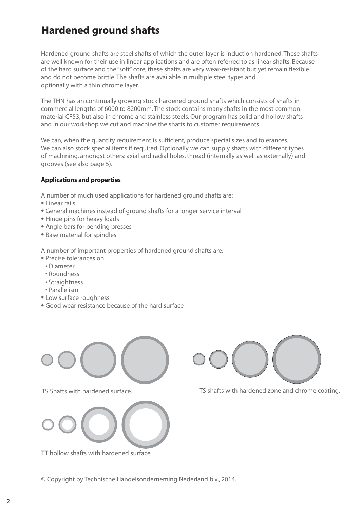## **Hardened ground shafts**

Hardened ground shafts are steel shafts of which the outer layer is induction hardened. These shafts are well known for their use in linear applications and are often referred to as linear shafts. Because of the hard surface and the "soft" core, these shafts are very wear-resistant but yet remain flexible and do not become brittle. The shafts are available in multiple steel types and optionally with a thin chrome layer.

The THN has an continually growing stock hardened ground shafts which consists of shafts in commercial lengths of 6000 to 8200mm. The stock contains many shafts in the most common material CF53, but also in chrome and stainless steels. Our program has solid and hollow shafts and in our workshop we cut and machine the shafts to customer requirements.

We can, when the quantity requirement is sufficient, produce special sizes and tolerances. We can also stock special items if required. Optionally we can supply shafts with different types of machining, amongst others: axial and radial holes, thread (internally as well as externally) and grooves (see also page 5).

## Applications and properties

A number of much used applications for hardened ground shafts are:

- Linear rails
- General machines instead of ground shafts for a longer service interval
- Hinge pins for heavy loads
- Angle bars for bending presses
- Base material for spindles

A number of important properties of hardened ground shafts are:

- Precise tolerances on:
- Diameter
- Roundness
- Straightness
- Parallelism
- Low surface roughness
- Good wear resistance because of the hard surface





TT hollow shafts with hardened surface.



TS Shafts with hardened surface. TS shafts with hardened zone and chrome coating.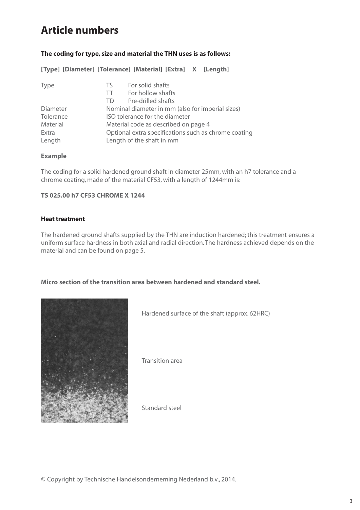## **Article numbers**

## **The coding for type, size and material the THN uses is as follows:**

**[Type] [Diameter] [Tolerance] [Material] [Extra] X [Length]**

| <b>Type</b> | For solid shafts<br>TS.                              |
|-------------|------------------------------------------------------|
|             | For hollow shafts<br>TT.                             |
|             | Pre-drilled shafts<br>TD.                            |
| Diameter    | Nominal diameter in mm (also for imperial sizes)     |
| Tolerance   | ISO tolerance for the diameter                       |
| Material    | Material code as described on page 4                 |
| Extra       | Optional extra specifications such as chrome coating |
| Length      | Length of the shaft in mm                            |

## **Example**

The coding for a solid hardened ground shaft in diameter 25mm, with an h7 tolerance and a chrome coating, made of the material CF53, with a length of 1244mm is:

## **TS 025.00 h7 CF53 CHROME X 1244**

### Heat treatment

The hardened ground shafts supplied by the THN are induction hardened; this treatment ensures a uniform surface hardness in both axial and radial direction. The hardness achieved depends on the material and can be found on page 5.

**Micro section of the transition area between hardened and standard steel.**



Hardened surface of the shaft (approx. 62HRC)

Transition area

Standard steel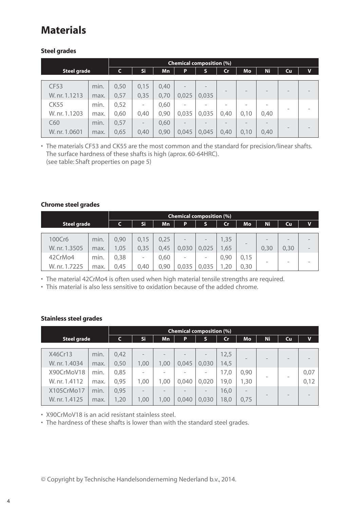## **Materials**

## Steel grades

|                    |      |      | <b>Chemical composition (%)</b> |      |                          |       |               |      |      |                          |             |
|--------------------|------|------|---------------------------------|------|--------------------------|-------|---------------|------|------|--------------------------|-------------|
| <b>Steel grade</b> |      | C    | Si                              | Mn   | P                        | S     | $\mathsf{Cr}$ | Mo   | Ni   | Cu                       | $\mathbf v$ |
|                    |      |      |                                 |      |                          |       |               |      |      |                          |             |
| <b>CF53</b>        | min. | 0,50 | 0,15                            | 0,40 | $\overline{\phantom{a}}$ |       |               | -    |      | -                        |             |
| W. nr. 1.1213      | max. | 0,57 | 0,35                            | 0,70 | 0,025                    | 0,035 |               |      |      |                          |             |
| <b>CK55</b>        | min. | 0,52 | -                               | 0,60 | ۰                        |       |               |      |      |                          |             |
| W. nr. 1.1203      | max. | 0,60 | 0,40                            | 0,90 | 0,035                    | 0,035 | 0,40          | 0,10 | 0,40 | $\overline{\phantom{a}}$ |             |
| C60                | min. | 0,57 | $\qquad \qquad -$               | 0,60 | $\overline{\phantom{a}}$ |       |               |      |      |                          |             |
| W. nr. 1.0601      | max. | 0,65 | 0,40                            | 0,90 | 0,045                    | 0,045 | 0,40          | 0,10 | 0,40 | -                        |             |

• The materials CF53 and CK55 are the most common and the standard for precision/linear shafts. The surface hardness of these shafts is high (aprox. 60-64HRC). (see table: Shaft properties on page 5)

## Chrome steel grades

|                    |      |      | <b>Chemical composition (%)</b> |           |                          |                   |               |                          |           |                   |   |
|--------------------|------|------|---------------------------------|-----------|--------------------------|-------------------|---------------|--------------------------|-----------|-------------------|---|
| <b>Steel grade</b> |      | C    | Si                              | <b>Mn</b> | P                        | S                 | $\mathsf{Cr}$ | <b>Mo</b>                | <b>Ni</b> | Cu                | V |
|                    |      |      |                                 |           |                          |                   |               |                          |           |                   |   |
| 100Cr6             | min. | 0,90 | 0,15                            | 0,25      | $\qquad \qquad -$        | $\qquad \qquad -$ | 1,35          | $\overline{\phantom{a}}$ |           | $\qquad \qquad -$ |   |
| W. nr. 1.3505      | max. | 1,05 | 0,35                            | 0,45      | 0,030                    | 0,025             | 1,65          |                          | 0,30      | 0,30              | - |
| 42CrMo4            | min. | 0,38 | $\qquad \qquad$                 | 0,60      | $\overline{\phantom{a}}$ | -                 | 0,90          | 0,15                     | -         | -                 |   |
| W. nr. 1.7225      | max. | 0,45 | 0,40                            | 0,90      | 0.035                    | 0,035             | ,20           | 0,30                     |           |                   |   |

• The material 42CrMo4 is often used when high material tensile strengths are required.

• This material is also less sensitive to oxidation because of the added chrome.

## Stainless steel grades

|                             |              |              | <b>Chemical composition (%)</b>  |                                  |       |                          |              |                          |                          |                          |              |
|-----------------------------|--------------|--------------|----------------------------------|----------------------------------|-------|--------------------------|--------------|--------------------------|--------------------------|--------------------------|--------------|
| <b>Steel grade</b>          |              | C            | Si                               | Mn                               | P     | S                        | Cr           | Mo                       | Ni.                      | Cu                       | $\mathbf v$  |
| X46Cr13<br>W. nr. 1.4034    | min.<br>max. | 0,42<br>0,50 | $\overline{\phantom{a}}$<br>1,00 | $\overline{\phantom{a}}$<br>1,00 | 0,045 | 0,030                    | 12,5<br>14,5 | $\overline{\phantom{a}}$ |                          | $\overline{\phantom{a}}$ |              |
| X90CrMoV18<br>W. nr. 1.4112 | min.<br>max. | 0,85<br>0,95 | 1,00                             | 1,00                             | 0,040 | 0,020                    | 17,0<br>19,0 | 0,90<br>1,30             |                          | $\overline{\phantom{a}}$ | 0,07<br>0,12 |
| X105CrMo17<br>W. nr. 1.4125 | min.<br>max. | 0,95<br>1,20 | $\overline{\phantom{a}}$<br>1,00 | $\overline{\phantom{a}}$<br>1,00 | 0,040 | $\qquad \qquad$<br>0,030 | 16,0<br>18,0 | $\sim$<br>0,75           | $\overline{\phantom{a}}$ | $\overline{\phantom{a}}$ |              |

• X90CrMoV18 is an acid resistant stainless steel.

• The hardness of these shafts is lower than with the standard steel grades.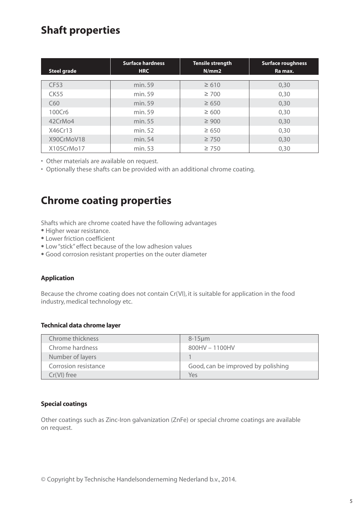## **Shaft properties**

| <b>Steel grade</b> | <b>Surface hardness</b><br><b>HRC</b> | <b>Tensile strength</b><br>N/mm2 | <b>Surface roughness</b><br>Ra max. |  |  |
|--------------------|---------------------------------------|----------------------------------|-------------------------------------|--|--|
|                    |                                       |                                  |                                     |  |  |
| <b>CF53</b>        | min. 59                               | $\geq 610$                       | 0,30                                |  |  |
| <b>CK55</b>        | min. 59                               | $\geq 700$                       | 0,30                                |  |  |
| C60                | min. 59                               | $\geq 650$                       | 0,30                                |  |  |
| 100Cr6             | min. 59                               | $\geq 600$                       | 0,30                                |  |  |
| 42CrMo4            | min. 55                               | $\geq 900$                       | 0,30                                |  |  |
| X46Cr13            | min. 52                               | $\geq 650$                       | 0,30                                |  |  |
| X90CrMoV18         | min. 54                               | $\geq 750$                       | 0,30                                |  |  |
| X105CrMo17         | min. 53                               | $\geq 750$                       | 0,30                                |  |  |

• Other materials are available on request.

• Optionally these shafts can be provided with an additional chrome coating.

## **Chrome coating properties**

Shafts which are chrome coated have the following advantages

- Higher wear resistance.
- Lower friction coefficient
- Low "stick" effect because of the low adhesion values
- Good corrosion resistant properties on the outer diameter

## Application

Because the chrome coating does not contain Cr(VI), it is suitable for application in the food industry, medical technology etc.

### Technical data chrome layer

| Chrome thickness     | $8-15 \mu m$                       |
|----------------------|------------------------------------|
| Chrome hardness      | 800HV - 1100HV                     |
| Number of layers     |                                    |
| Corrosion resistance | Good, can be improved by polishing |
| $Cr(VI)$ free        | Yes                                |

## Special coatings

Other coatings such as Zinc-Iron galvanization (ZnFe) or special chrome coatings are available on request.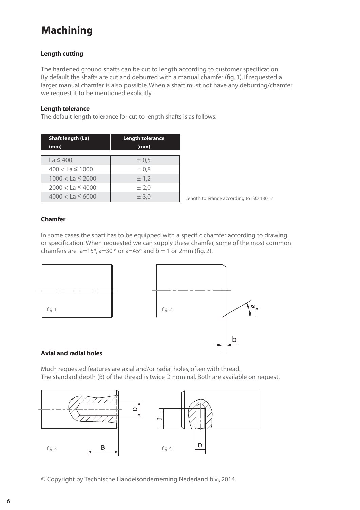## **Machining**

## Length cutting

The hardened ground shafts can be cut to length according to customer specification. By default the shafts are cut and deburred with a manual chamfer (fig. 1). If requested a larger manual chamfer is also possible. When a shaft must not have any deburring/chamfer we request it to be mentioned explicitly.

### Length tolerance

The default length tolerance for cut to length shafts is as follows:

| <b>Shaft length (La)</b><br>(mm) | <b>Length tolerance</b><br>(mm) |  |  |  |  |
|----------------------------------|---------------------------------|--|--|--|--|
| $La \leq 400$                    | ± 0,5                           |  |  |  |  |
| $400 < La \leq 1000$             | $\pm 0.8$                       |  |  |  |  |
| $1000 < La \leq 2000$            | ± 1,2                           |  |  |  |  |
| $2000 < La \leq 4000$            | ± 2.0                           |  |  |  |  |
| $4000 < La \leq 6000$            | ± 3,0                           |  |  |  |  |

Length tolerance according to ISO 13012

### Chamfer

In some cases the shaft has to be equipped with a specific chamfer according to drawing or specification. When requested we can supply these chamfer, some of the most common chamfers are  $a=15^{\circ}$ ,  $a=30^{\circ}$  or  $a=45^{\circ}$  and  $b=1$  or 2mm (fig. 2).



### Axial and radial holes

Much requested features are axial and/or radial holes, often with thread. The standard depth (B) of the thread is twice D nominal. Both are available on request.

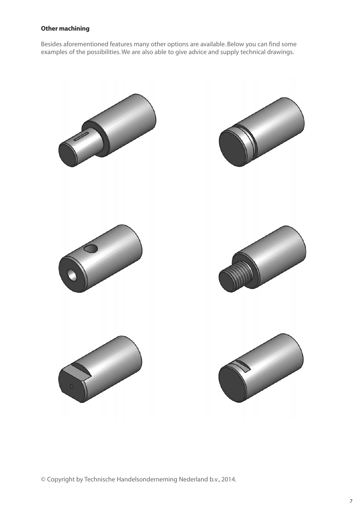## Other machining

Besides aforementioned features many other options are available. Below you can find some examples of the possibilities. We are also able to give advice and supply technical drawings.

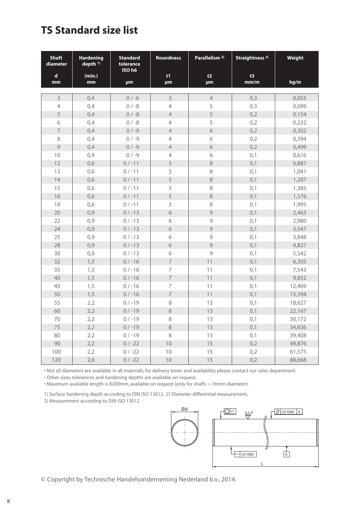## **TS Standard size list**

| <b>Shaft</b><br>diameter | <b>Hardening</b><br>depth $11$ | <b>Standard</b><br>tolerance<br>ISO h6 | Parallelism <sup>2)</sup><br><b>Roundness</b> |                | Straightness <sup>3)</sup> | Weight |
|--------------------------|--------------------------------|----------------------------------------|-----------------------------------------------|----------------|----------------------------|--------|
| $\mathbf d$              | (min.)                         |                                        | t1                                            | t2             | t3<br>mm/m                 |        |
| mm                       | mm                             | <b>um</b>                              | <b>um</b>                                     | <b>um</b>      |                            | kg/m   |
| 3                        | 0,4                            | $0 / -6$                               | $\overline{3}$                                | $\overline{4}$ | 0,3                        | 0,055  |
| $\overline{4}$           | 0,4                            | $0 / -8$                               | $\overline{4}$                                | 5              | 0,3                        | 0,099  |
| 5                        | 0,4                            | $0 / -8$                               | $\overline{4}$                                | 5              | 0,2                        | 0,154  |
| 6                        | 0,4                            | $0 / -8$                               | 4                                             | 5              | 0,2                        | 0,222  |
| $\overline{7}$           | 0,4                            | $0 / -9$                               | $\overline{4}$                                | $\sigma$       | 0,2                        | 0,302  |
| 8                        | 0,4                            | $0/-9$                                 | 4                                             | 6              | 0,2                        | 0,394  |
| 9                        | 0,4                            | $0/-9$                                 | $\overline{4}$                                | $\sqrt{6}$     | 0,2                        | 0,499  |
| 10                       | 0,4                            | $0 / -9$                               | $\overline{4}$                                | 6              | 0,1                        | 0,616  |
| 12                       | 0,6                            | $0 / -11$                              | 5                                             | $\,8\,$        | 0,1                        | 0,887  |
| 13                       | 0,6                            | $0 / -11$                              | 5                                             | 8              | 0,1                        | 1,041  |
| 14                       | 0,6                            | $0 / -11$                              | 5                                             | $\,8\,$        | 0,1                        | 1,207  |
| 15                       | 0,6                            | $0 / -11$                              | 5                                             | 8              | 0,1                        | 1,385  |
| 16                       | 0,6                            | $0 / -11$                              | 5                                             | $\,8\,$        | 0,1                        | 1,576  |
| 18                       | 0,6                            | $0 / -11$                              | 5                                             | 8              | 0,1                        | 1,995  |
| 20                       | 0,9                            | $0/-13$                                | $\sqrt{6}$                                    | 9              | 0,1                        | 2,463  |
| 22                       | 0,9                            | $0/-13$                                | 6                                             | 9              | 0,1                        | 2,980  |
| 24                       | 0,9                            | $0/-13$                                | 6                                             | 9              | 0,1                        | 3,547  |
| 25                       | 0,9                            | $0/-13$                                | 6                                             | 9              | 0,1                        | 3,848  |
| 28                       | 0,9                            | $0 / -13$                              | 6                                             | $\overline{9}$ | 0,1                        | 4,827  |
| 30                       | 0,9                            | $0/-13$                                | 6                                             | 9              | 0,1                        | 5,542  |
| 32                       | 1,5                            | $0/ -16$                               | $\overline{7}$                                | 11             | 0,1                        | 6,305  |
| 35                       | 1,5                            | $0/ -16$                               | $\overline{7}$                                | 11             | 0,1                        | 7,543  |
| 40                       | 1,5                            | $0 / -16$                              | $\overline{7}$                                | 11             | 0,1                        | 9,852  |
| 45                       | 1,5                            | $0/ -16$                               | $\overline{7}$                                | 11             | 0,1                        | 12,469 |
| 50                       | 1,5                            | $0/ -16$                               | $\overline{7}$                                | 11             | 0,1                        | 15,394 |
| 55                       | 2,2                            | $0/ -19$                               | 8                                             | 13             | 0,1                        | 18,627 |
| 60                       | 2,2                            | $0/ -19$                               | 8                                             | 13             | 0,1                        | 22,167 |
| 70                       | 2,2                            | $0/ -19$                               | 8                                             | 13             | 0,1                        | 30,172 |
| 75                       | 2,2                            | $0 / -19$                              | 8                                             | 13             | 0,1                        | 34,636 |
| 80                       | 2,2                            | $0/ -19$                               | 8                                             | 13             | 0,1                        | 39,408 |
| 90                       | 2,2                            | $0/-22$                                | 10                                            | 15             | 0,2                        | 49,876 |
| 100                      | 2,2                            | $0/-22$                                | 10                                            | 15             | 0,2                        | 61,575 |
| 120                      | 2,6                            | $0/-22$                                | 10                                            | 15             | 0,2                        | 88,668 |

• Not all diameters are available in all materials, for delivery times and availability please contact our sales department.

• Other sizes, tolerances and hardening depths are available on request.

• Maximum available length is 8200mm, available on request (only for shafts > 16mm diameter).

1) Surface hardening depth according to DIN ISO 13012, 2) Diameter differential measurement,

3) Measurement according to DIN ISO 13012

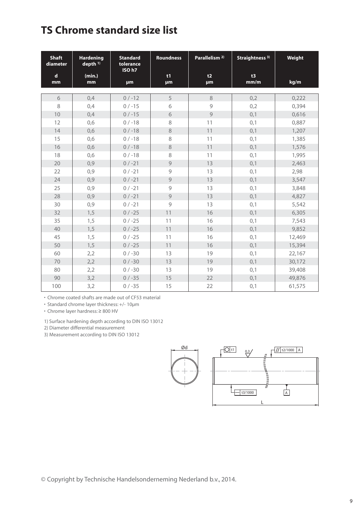## **TS Chrome standard size list**

| <b>Shaft</b><br>diameter | <b>Hardening</b><br>depth <sup>1)</sup> | <b>Standard</b><br>tolerance<br>ISO h7 | <b>Roundness</b> | Parallelism <sup>2)</sup> | Straightness <sup>3)</sup> | Weight |
|--------------------------|-----------------------------------------|----------------------------------------|------------------|---------------------------|----------------------------|--------|
| $\mathbf d$<br>mm        | (min.)<br>mm                            | <b>um</b>                              | t1<br><b>um</b>  | t2<br><b>um</b>           | t3<br>mm/m                 | kg/m   |
| 6                        | 0,4                                     | $0/-12$                                | 5                | 8                         | 0,2                        | 0,222  |
| 8                        | 0,4                                     | $0/-15$                                | 6                | 9                         | 0,2                        | 0,394  |
| 10                       | 0,4                                     | $0/-15$                                | $\sigma$         | $\overline{9}$            | 0,1                        | 0,616  |
| 12                       | 0,6                                     | $0/ -18$                               | 8                | 11                        | 0,1                        | 0,887  |
| 14                       | 0,6                                     | $0/-18$                                | 8                | 11                        | 0,1                        | 1,207  |
| 15                       | 0,6                                     | $0 / -18$                              | 8                | 11                        | 0,1                        | 1,385  |
| 16                       | 0,6                                     | $0/-18$                                | 8                | 11                        | 0,1                        | 1,576  |
| 18                       | 0,6                                     | $0/-18$                                | 8                | 11                        | 0,1                        | 1,995  |
| 20                       | 0,9                                     | $0 / -21$                              | $\overline{9}$   | 13                        | 0,1                        | 2,463  |
| 22                       | 0,9                                     | $0/-21$                                | 9                | 13                        | 0,1                        | 2,98   |
| 24                       | 0,9                                     | $0/-21$                                | $\overline{9}$   | 13                        | 0,1                        | 3,547  |
| 25                       | 0,9                                     | $0 / -21$                              | 9                | 13                        | 0,1                        | 3,848  |
| 28                       | 0,9                                     | $0/-21$                                | 9                | 13                        | 0,1                        | 4,827  |
| 30                       | 0,9                                     | $0/-21$                                | 9                | 13                        | 0,1                        | 5,542  |
| 32                       | 1,5                                     | $0/-25$                                | 11               | 16                        | 0,1                        | 6,305  |
| 35                       | 1,5                                     | $0 / -25$                              | 11               | 16                        | 0,1                        | 7,543  |
| 40                       | 1,5                                     | $0/-25$                                | 11               | 16                        | 0,1                        | 9,852  |
| 45                       | 1,5                                     | $0/-25$                                | 11               | 16                        | 0,1                        | 12,469 |
| 50                       | 1,5                                     | $0/-25$                                | 11               | 16                        | 0,1                        | 15,394 |
| 60                       | 2,2                                     | $0 / -30$                              | 13               | 19                        | 0,1                        | 22,167 |
| 70                       | 2,2                                     | $0 / -30$                              | 13               | 19                        | 0,1                        | 30,172 |
| 80                       | 2,2                                     | $0 / -30$                              | 13               | 19                        | 0,1                        | 39,408 |
| 90                       | 3,2                                     | $0 / -35$                              | 15               | 22                        | 0,1                        | 49,876 |
| 100                      | 3,2                                     | $0/-35$                                | 15               | 22                        | 0,1                        | 61,575 |

• Chrome coated shafts are made out of CF53 material

• Standard chrome layer thickness: +/- 10µm

• Chrome layer hardness: ≥ 800 HV

1) Surface hardening depth according to DIN ISO 13012

2) Diameter differential measurement

3) Measurement according to DIN ISO 13012

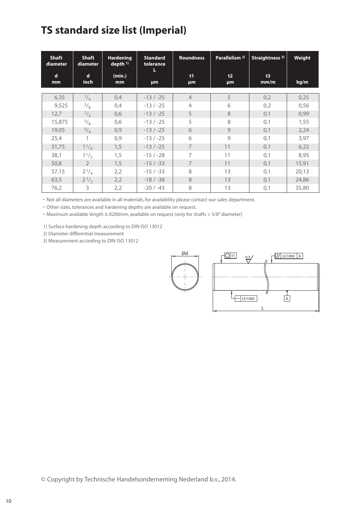## **TS standard size list (Imperial)**

| <b>Shaft</b><br>diameter | <b>Shaft</b><br>diameter | <b>Hardening</b><br>$depth$ <sup>1)</sup> | <b>Standard</b><br>tolerance<br>L | <b>Roundness</b> | Parallelism <sup>2)</sup> | Straightness <sup>3)</sup> | Weight |
|--------------------------|--------------------------|-------------------------------------------|-----------------------------------|------------------|---------------------------|----------------------------|--------|
| $\mathbf d$<br>mm        | d<br>inch                | (min.)<br>mm                              | µm                                | t1<br><b>um</b>  | t2<br>μm                  | t3<br>mm/m                 | kg/m   |
|                          |                          |                                           |                                   |                  |                           |                            |        |
| 6,35                     | $^{1/4}$                 | 0,4                                       | $-13/ -25$                        | $\overline{4}$   | 5                         | 0,2                        | 0,25   |
| 9,525                    | 3/8                      | 0,4                                       | $-13/ -25$                        | $\overline{4}$   | 6                         | 0,2                        | 0,56   |
| 12,7                     | $\frac{1}{2}$            | 0,6                                       | $-13/ -25$                        | 5                | 8                         | 0,1                        | 0,99   |
| 15,875                   | 5/8                      | 0,6                                       | $-13/ -25$                        | 5                | 8                         | 0,1                        | 1,55   |
| 19,05                    | $^{3/4}$                 | 0,9                                       | $-13/ -25$                        | 6                | 9                         | 0,1                        | 2,24   |
| 25,4                     | 1                        | 0,9                                       | $-13/ -25$                        | 6                | 9                         | 0,1                        | 3,97   |
| 31,75                    | $1^{1/4}$                | 1,5                                       | $-13/ -25$                        | $\overline{7}$   | 11                        | 0,1                        | 6,22   |
| 38,1                     | 11/2                     | 1,5                                       | $-15/ -28$                        | 7                | 11                        | 0,1                        | 8,95   |
| 50,8                     | $\overline{2}$           | 1,5                                       | $-15/ -33$                        | $\overline{7}$   | 11                        | 0,1                        | 15,91  |
| 57,15                    | $2^{1/4}$                | 2,2                                       | $-15/ -33$                        | 8                | 13                        | 0,1                        | 20,13  |
| 63,5                     | $2^{1/2}$                | 2,2                                       | $-18/ -38$                        | 8                | 13                        | 0,1                        | 24,86  |
| 76,2                     | 3                        | 2,2                                       | $-20/ -43$                        | 8                | 13                        | 0,1                        | 35,80  |

• Not all diameters are available in all materials, for availability please contact our sales department.

• Other sizes, tolerances and hardening depths are available on request.

• Maximum available length is 8200mm, available on request (only for shafts > 5/8" diameter)

1) Surface hardening depth according to DIN ISO 13012

2) Diameter differential measurement

3) Measurement according to DIN ISO 13012

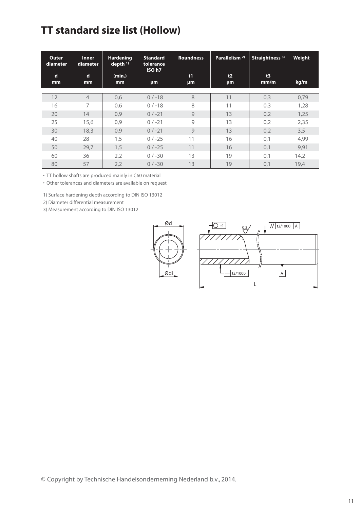## **TT standard size list (Hollow)**

| Outer<br>diameter | <b>Inner</b><br>diameter | <b>Hardening</b><br>depth $11$ | <b>Standard</b><br>tolerance<br>ISO h7 | <b>Roundness</b> | Parallelism <sup>2)</sup> | Straightness <sup>3)</sup> | Weight |
|-------------------|--------------------------|--------------------------------|----------------------------------------|------------------|---------------------------|----------------------------|--------|
| $\mathbf d$<br>mm | d<br>mm                  | (min.)<br>mm                   | <b>um</b>                              | t1<br><b>µm</b>  | t2<br>μm                  | t3<br>mm/m                 | kg/m   |
| 12                | $\overline{4}$           | 0,6                            | $0/-18$                                | 8                | 11                        | 0,3                        | 0,79   |
| 16                | 7                        | 0,6                            | $0/ -18$                               | 8                | 11                        | 0,3                        | 1,28   |
| 20                | 14                       | 0,9                            | $0/-21$                                | 9                | 13                        | 0,2                        | 1,25   |
| 25                | 15,6                     | 0,9                            | $0/ -21$                               | 9                | 13                        | 0,2                        | 2,35   |
| 30                | 18,3                     | 0,9                            | $0/-21$                                | $\mathbf{Q}$     | 13                        | 0,2                        | 3,5    |
| 40                | 28                       | 1,5                            | $0/ -25$                               | 11               | 16                        | 0,1                        | 4,99   |
| 50                | 29,7                     | 1,5                            | $0/-25$                                | 11               | 16                        | 0,1                        | 9,91   |
| 60                | 36                       | 2,2                            | $0/-30$                                | 13               | 19                        | 0,1                        | 14,2   |
| 80                | 57                       | 2,2                            | $0/-30$                                | 13               | 19                        | 0,1                        | 19,4   |

• TT hollow shafts are produced mainly in C60 material

• Other tolerances and diameters are available on request

1) Surface hardening depth according to DIN ISO 13012

2) Diameter differential measurement

3) Measurement according to DIN ISO 13012

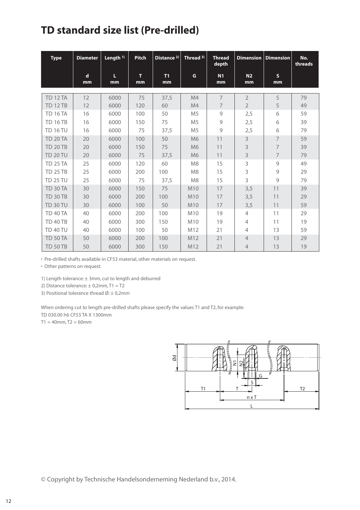## **TD standard size list (Pre-drilled)**

| <b>Type</b>     | <b>Diameter</b> | Length $1$ ) | <b>Pitch</b> | Distance <sup>2)</sup> | Thread <sup>3)</sup> | <b>Thread</b><br>depth |                      | <b>Dimension</b> Dimension | No.<br>threads |
|-----------------|-----------------|--------------|--------------|------------------------|----------------------|------------------------|----------------------|----------------------------|----------------|
|                 | d<br>mm         | L<br>mm      | т<br>mm      | T1<br>mm               | G                    | N <sub>1</sub><br>mm   | N <sub>2</sub><br>mm | $\mathsf{s}$<br>mm         |                |
| <b>TD 12 TA</b> | 12              | 6000         | 75           | 37,5                   | M4                   | $\overline{7}$         | $\overline{2}$       | 5                          | 79             |
| <b>TD 12 TB</b> | 12              | 6000         | 120          | 60                     | M4                   | 7                      | $\overline{2}$       | 5                          | 49             |
| <b>TD 16 TA</b> | 16              | 6000         | 100          | 50                     | M <sub>5</sub>       | 9                      | 2,5                  | 6                          | 59             |
| <b>TD 16 TB</b> | 16              | 6000         | 150          | 75                     | M <sub>5</sub>       | 9                      | 2,5                  | 6                          | 39             |
| <b>TD 16 TU</b> | 16              | 6000         | 75           | 37,5                   | M <sub>5</sub>       | $\mathcal{G}$          | 2,5                  | 6                          | 79             |
| <b>TD 20 TA</b> | 20              | 6000         | 100          | 50                     | M <sub>6</sub>       | 11                     | 3                    | $\overline{7}$             | 59             |
| <b>TD 20 TB</b> | 20              | 6000         | 150          | 75                     | M <sub>6</sub>       | 11                     | 3                    | $\overline{7}$             | 39             |
| <b>TD 20 TU</b> | 20              | 6000         | 75           | 37,5                   | M <sub>6</sub>       | 11                     | 3                    | $\overline{7}$             | 79             |
| <b>TD 25 TA</b> | 25              | 6000         | 120          | 60                     | M <sub>8</sub>       | 15                     | 3                    | 9                          | 49             |
| <b>TD 25 TB</b> | 25              | 6000         | 200          | 100                    | M <sub>8</sub>       | 15                     | 3                    | 9                          | 29             |
| <b>TD 25 TU</b> | 25              | 6000         | 75           | 37,5                   | M <sub>8</sub>       | 15                     | 3                    | 9                          | 79             |
| <b>TD 30 TA</b> | 30              | 6000         | 150          | 75                     | M10                  | 17                     | 3,5                  | 11                         | 39             |
| <b>TD 30 TB</b> | 30              | 6000         | 200          | 100                    | M10                  | 17                     | 3,5                  | 11                         | 29             |
| <b>TD 30 TU</b> | 30              | 6000         | 100          | 50                     | M10                  | 17                     | 3,5                  | 11                         | 59             |
| <b>TD 40 TA</b> | 40              | 6000         | 200          | 100                    | M10                  | 19                     | $\overline{4}$       | 11                         | 29             |
| <b>TD 40 TB</b> | 40              | 6000         | 300          | 150                    | M10                  | 19                     | $\overline{4}$       | 11                         | 19             |
| <b>TD 40 TU</b> | 40              | 6000         | 100          | 50                     | M12                  | 21                     | $\overline{4}$       | 13                         | 59             |
| <b>TD 50 TA</b> | 50              | 6000         | 200          | 100                    | M12                  | 21                     | $\overline{4}$       | 13                         | 29             |
| <b>TD 50 TB</b> | 50              | 6000         | 300          | 150                    | M12                  | 21                     | $\overline{4}$       | 13                         | 19             |

• Pre-drilled shafts available in CF53 material, other materials on request.

• Other patterns on request.

1) Length tolerance: ± 3mm, cut to length and deburred

2) Distance tolerance:  $\pm$  0,2mm, T1 = T2

3) Positional tolerance thread  $\varnothing$ :  $\pm$  0,2mm

When ordering cut to length pre-drilled shafts please specify the values T1 and T2, for example: TD 030.00 h6 CF53 TA X 1300mm

 $T1 = 40$ mm,  $T2 = 60$ mm

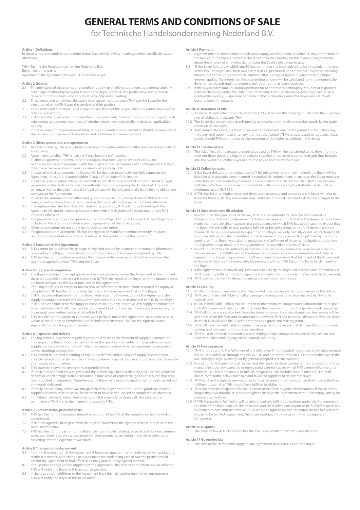## GENERAL TERMS AND CONDITIONS OF SALE

## for Technische Handelsonderneming Nederland B.V.

#### Article 1 Definitions

In these terms and conditions, the terms below have the following meanings, unless specifically stated otherwise:

THN : Technische Handelsonderneming Nederland B.V.; Buyer : the other party; Agreement : the agreement between THN and the Buyer;

#### Article 2 General

- The provisions of these terms and conditions apply to all offers, quotations, agreements and any other legal relationship between THN and the Buyer, insofar as the parties have not agreed to
- deviate from these terms and conditions explicitly and in writing; 2.2 These terms and conditions also apply to all agreements between THN and the Buyer for the execution of which THN uses the services of third parties;
- 2.3 These terms and conditions shall always replace those of the Buyer, unless the parties have agreed ........<br>stherwise in writing:
- 2.4 If THN and the Buyer enter into more than one agreement, these terms and conditions apply to all subsequent agreements, regardless of whether these have been explicitly declared applicable in writing;
- 2.5 If one or more of the provisions of these terms and conditions are invalid or should become invalid, the remaining provisions of these terms and conditions will remain in force.

## Article 3 Offers, quotations and agreements<br>3.1 All offers made by THN in any form are

- All offers made by THN in any form are without obligation, unless the offer specifies a time scale for acceptance; 3.2 Agreements to which THN is party will only become enforceable:
- a) after an agreement drawn up for that purpose has been signed by both parties, or; b) after receipt of and agreement with the Buyer's written acceptance of an offer made by THN, or; c) by the actual execution of work or delivery of goods by THN;
- 3.3 In cases of verbal agreement, the invoice will be deemed to correctly and fully represent the Agreement, unless it is disputed within 14 days of the date of the invoice;
- 3.4 If a natural person enters into an Agreement on behalf or on account of another natural or legal person, he or she declares to have the authority to do so by signing the Agreement. Any such person, as well as the other natural or legal person, will be held personally liable for any obligations .<br>pursuant to the Agreement;
- 3.5 Prices in the aforementioned offers and quotations are in Euro, and exclusive of VAT and other
- taxes, as well as of any transportation and packaging costs, unless explicitly stated otherwise; 3.6 If acceptance deviates from the offer stated in a quotation, THN will not be bound by it. The Agreement will not be executed in accordance with any deviations in acceptance, unless THN indicates otherwise;
- 3.7 The provision of a compound quotation does not oblige THN to fulfil any part of the obligations included in the offer or quotation against a proportion of the price quoted;<br>3.8 Offers or quotations do not apply to any subsequent orders;<br>3.9 If a quotation is not accepted, THN has the right to demand fair reimbursem
- 
- requesting the quotation for any costs related to the production of the quotation.

#### Article 4 Execution of the Agreement

- 4.1 THN cannot be held liable for damage of any kind caused by incorrect or incomplete information provided by the Buyer, unless the error or omission should have been recognised by THN; 4.2 THN has the right to deliver quantities that deviate within a margin of 5% either way from the
- nas the right to achier quantities that act<br>tities agreed between THN and the Buyer.

#### Article 5 Supply and completion

- 5.1 The Buyer is obliged to accept goods and services produced under the Agreement at the moment these are supplied or the order is completed by THN, delivered to the Buyer, or at the moment these
- are made available to the Buyer pursuant to the Agreement; 5.2 If the Buyer refuses to accept or fails to provide information or instructions required for supply or completion, THN has the right to store the goods at the expense and risk of the Buyer;
- 5.3 If THN requires information from the Buyer with regard to the execution of the Agreement, the supply or completion term will only commence once this has been provided to THN by the Buyer; 5.4 If THN has set a time scale for supply or completion, it is only indicative. Any supply or completion
- time scale indicated shall in no case be considered binding. If any such time scale is exceeded, the r must give written notice of default to THN; 5.5 THN has the right to supply or complete work partially, unless the Agreement states otherwise or
- where partial supply or completion is of no independent value. THN has the right to invoice separately for partial supply or completion.

#### Article 6 Inspection and defects

- 6.1 The Buyer must inspect the supplied goods or services at the moment of supply or completion. In doing so, the Buyer should inspect whether the quality and quantity of the goods or services supplied or completed comply with what has been agreed, or with the requirements expected in normal (trading) transactions;
- 6.2 THN should be notified in writing of any visible defects within 8 days of supply or completion. Invisible defects should be reported in writing within 8 days of discovery but no later than 3 months after supply or completion;
- 6.3 THN must be allowed to inspect any reported defects;
- 6.4 If timely notice of defects was given and the defects have been verified by THN, THN will repair the defects or shortcomings within a reasonable time scale, or replace the goods or services that have been supplied or completed. Nonetheless, the Buyer will remain obliged to pay for work carried out and goods delivered;
- 6.5 If timely notice of any defect was not given or if the Buyer has put to use the goods or services supplied or completed, these will be deemed to have been supplied or completed satisfactorily;
- 6.6 If the Buyer wishes to return defective goods, this may only be done with the prior written permission of THN and in the manner indicated by THN.

#### Article 7 Compensation, price and costs

- 7.1 THN has the right to demand a deposit amount of 10 to 50% of the agreed price before work is commenced;
- 7.2 If THN has agreed a fixed price with the Buyer, THN reserves the right to increase that price in the cases stated below;
- 7.3 THN has the right to pass on to the Buyer changes in costs relating to social contributions, turnover taxes, exchange rates, wages, raw materials, semi-products, packaging materials or other costs occurring after the Agreement was made.

#### Article 8 Changes to the Agreement

- If during the execution of the Agreement it becomes apparent that in order to deliver satisfactory results it is necessary to change or supplement the work being carried out, the parties should amend the Agreement to that effect in a timely and mutually agreed manner;
- 8.2 If the parties change and/or supplement the Agreement, the time of completion may be affected. THN will notify the Buyer of this as soon as possible;
- 8.3 If changes and/or additions to the Agreement have financial and/or qualitative consequences THN will notify the Buyer of this in advance;

#### Article 9 Payment

- Payment must be made either in cash upon supply or completion, or within 30 days of the date of the invoice, in the manner indicated by THN and in the currency on the invoice. Disagreements
- about the amount of an invoice do not defer the Buyer's obligation to pay; 9.2 If the Buyer fails to pay within the 30-day term, he or she is considered to be in default in the eyes of the law. The Buyer shall then owe interest of 1% per month or part thereof, unless the statutory interest or the statutory commercial interest (after 30 days) is higher, in which case the higher interest applies. The interest on the outstanding amount will be calculated from the moment the Buyer enters default until the moment the full amount has been received;
- 9.3 If the Buyer enters into liquidation, petitions for or enters into bankruptcy, requests or is granted debt rescheduling under the Dutch Natural Persons Debt Rescheduling Act, is repossessed or is granted (temporary) suspension of payment, the outstanding sums the Buyer owes THN will become due immediately;

#### Article 10 Retention of title

- 10.1 All materials and other goods delivered by THN will remain the property of THN until the Buyer has met all obligations towards THN;
- 10.2 The Buyer has no authority to sell, provide as security or otherwise encumber goods falling under retention of title rights;
- 10.3 With immediate effect, the Buyer gives unconditional and irrevocable permission for THN or any third parties it appoints to enter any premises that contain THN's property and to repossess these goods, should THN wish to exercise its retention of title rights as defined in this article.

#### Article 11 Transfer of risk

11.1 The risk of loss of or damage to goods produced by THN will be transferred to the Buyer from the moment these goods are legally or actually supplied or the order is completed, and thus brought into the ownership of the Buyer or a third party appointed by the Buyer.

#### Article 12 Collection costs

- 12.1 If the Buyer defaults on or neglects to fulfil his obligations (in a timely manner), the Buyer will be liable for all reasonable costs incurred in extrajudicial enforcement. In any case, the Buyer must pay collection costs if a monetary demand is made. Collection costs will be calculated in accordance with the collection cost rate recommended for collection cases by the Netherlands Bar, with a minimum cost of EUR 350.
- 12.2 If THN has incurred higher costs, and these were necessary and reasonable, the Buyer will also be liable for these costs. Any reasonable legal and execution costs incurred will also be charged to the Buyer.

### Article 13 Suspension and dissolution

- 13.1 In addition to the provisions of the law, THN has the authority to defer the fulfilment of its obligations or dissolve the Agreement if it becomes apparent to THN after the Agreement has been made that there are circumstances as a consequence of which THN has good reason to expect that the Buyer will not fulfil, or only partially fulfil his or her obligations, or not fulfil them in a timely manner. If there is good reason to expect that the Buyer will only partially or not satisfactorily fulfil<br>his or her obligations, the dissolution of the Agreement is only permitted if justified by the short-<br>coming, or if the Agreement was made, and this guarantee is not provided or is insufficient.
- 13.2 In addition, THN has the authority to dissolve or cause the Agreement to be dissolved if circum-<br>stances are such that fulfilment of the Agreement is impossible or can reasonably and fairly be<br>deemed to no longer be p in its present form cannot reasonably be expected, without THN becoming liable for damages to the Buyer;
- 13.3 If the Agreement is dissolved, any sums owed to THN by the Buyer will become due immediately. If THN defers the fulfilment of its obligations, it will retain its rights under the law and the Agreement; THN reserves the right to demand damage compensation in any case.

- **Article 14 Liability**<br>14.1 If THN should incur any liability, it will be limited in accordance with the provisions of this article. 14.2 THN can only be held liable for wilful damage or damage resulting from neglect by THN or its subordinates.
- 14.3 If THN is held liable, liability will be limited to the maximum compensation amount due to be paid by THN's insurer, and liability shall not exceed the invoice amount for the (partial) work concerned.
- 14.4 THN will not in any case be held liable for damage caused by advice it provides. Any advice will be given based on the facts and circumstances known to THN and in mutual discussion with the Buyer, in which THN will take the Buyer's intentions as a guide and starting point.
- 14.5 THN will never be held liable for indirect damage, being consequential damage, lost profit, missed
- savings and damage from business stagnation. 14.6 THN must be notified immediately and in writing of any damage claims and in any case no later than within five working days of the damage occurring.

#### Article 15 Force majeure

- 15.1 THN is not bound to the fulfilment of any obligation if it is impeded from doing so by circumstances not caused wilfully or through neglect by THN and not attributable to THN either in the eyes of the law, through a legal exchange or by general accepted industry opinion;
- 15.2 In addition to the provisions of the law and the courts, in these general terms and conditions force majeure includes any expected or unexpected external causes which THN cannot influence, and which cause THN to be unable to fulfil its obligations. This includes labour strikes at THN, staff illness, theft, traffic delays, frost, rain and failure of suppliers to deliver materials;
- 15.3 THN also has the right to seek recourse to force majeure if the circumstances that impede (further) fulfilment occur after THN should have fulfilled its obligation;
- 15.4 THN can defer its obligations for the duration of the force majeure circumstances. If this period is longer than two months, THN has the right to dissolve the Agreement without incurring liability for damages to the Buyer; 15.5 If THN has partially fulfilled or will be able to partially fulfil its obligations under the Agreement at
- the time of the force majeure circumstances and the fulfilled part or part to be fulfilled respectively is deemed to have independent value, THN has the right to invoice separately for the fulfilled part or part to be fulfilled respectively. The Buyer must pay this invoice as if it were a separate **Agreement**

### Article 16 Disputes

16.1 The court of law in THN's locality has the exclusive jurisdiction to settle any disputes.

### Article 17 Governing law

17.1 The laws of the Netherlands apply to any Agreement between THN and the Buyer.